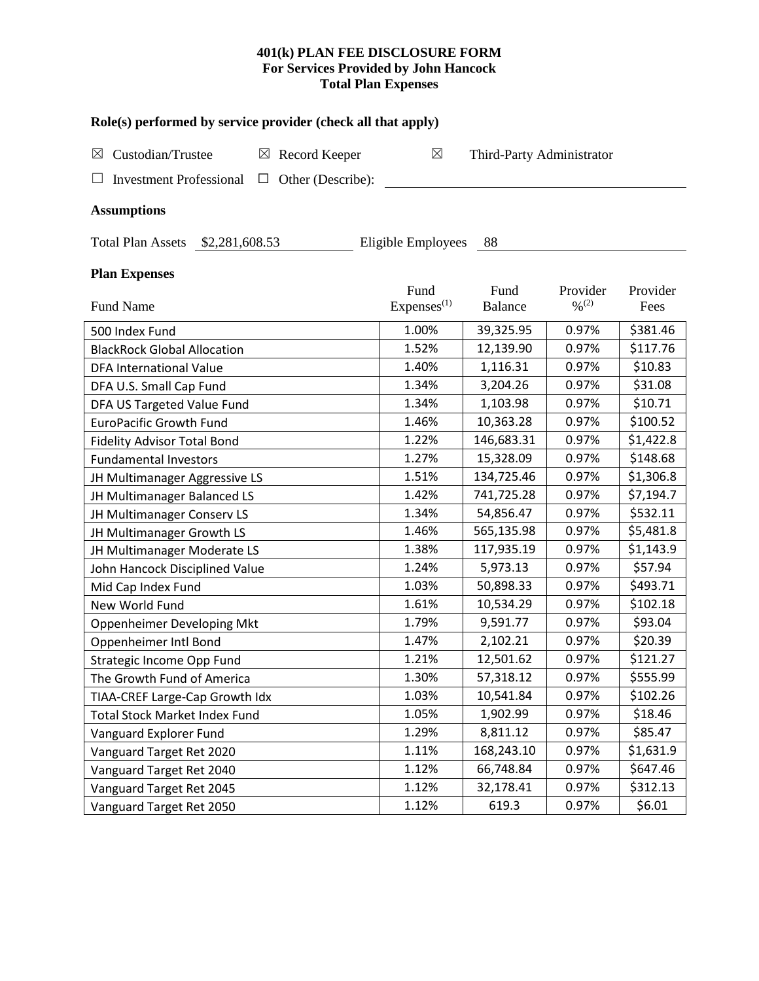## **401(k) PLAN FEE DISCLOSURE FORM For Services Provided by John Hancock Total Plan Expenses**

| Role(s) performed by service provider (check all that apply)     |                                |                           |                                          |                  |  |  |  |  |  |  |
|------------------------------------------------------------------|--------------------------------|---------------------------|------------------------------------------|------------------|--|--|--|--|--|--|
| Custodian/Trustee<br>Record Keeper<br>$\boxtimes$<br>$\boxtimes$ | $\boxtimes$                    | Third-Party Administrator |                                          |                  |  |  |  |  |  |  |
| <b>Investment Professional</b><br>Other (Describe):<br>□         |                                |                           |                                          |                  |  |  |  |  |  |  |
| <b>Assumptions</b>                                               |                                |                           |                                          |                  |  |  |  |  |  |  |
| <b>Total Plan Assets</b><br>\$2,281,608.53                       | Eligible Employees             | 88                        |                                          |                  |  |  |  |  |  |  |
| <b>Plan Expenses</b>                                             |                                |                           |                                          |                  |  |  |  |  |  |  |
| <b>Fund Name</b>                                                 | Fund<br>Express <sup>(1)</sup> | Fund<br><b>Balance</b>    | Provider<br>$\frac{0}{2}$ <sup>(2)</sup> | Provider<br>Fees |  |  |  |  |  |  |
| 500 Index Fund                                                   | 1.00%                          | 39,325.95                 | 0.97%                                    | \$381.46         |  |  |  |  |  |  |
| <b>BlackRock Global Allocation</b>                               | 1.52%                          | 12,139.90                 | 0.97%                                    | \$117.76         |  |  |  |  |  |  |
| <b>DFA International Value</b>                                   | 1.40%                          | 1,116.31                  | 0.97%                                    | \$10.83          |  |  |  |  |  |  |
| DFA U.S. Small Cap Fund                                          | 1.34%                          | 3,204.26                  | 0.97%                                    | \$31.08          |  |  |  |  |  |  |
| DFA US Targeted Value Fund                                       | 1.34%                          | 1,103.98                  | 0.97%                                    | \$10.71          |  |  |  |  |  |  |
| <b>EuroPacific Growth Fund</b>                                   | 1.46%                          | 10,363.28                 | 0.97%                                    | \$100.52         |  |  |  |  |  |  |
| <b>Fidelity Advisor Total Bond</b>                               | 1.22%                          | 146,683.31                | 0.97%                                    | \$1,422.8        |  |  |  |  |  |  |
| <b>Fundamental Investors</b>                                     | 1.27%                          | 15,328.09                 | 0.97%                                    | \$148.68         |  |  |  |  |  |  |
| JH Multimanager Aggressive LS                                    | 1.51%                          | 134,725.46                | 0.97%                                    | \$1,306.8        |  |  |  |  |  |  |
| JH Multimanager Balanced LS                                      | 1.42%                          | 741,725.28                | 0.97%                                    | \$7,194.7        |  |  |  |  |  |  |
| JH Multimanager Conserv LS                                       | 1.34%                          | 54,856.47                 | 0.97%                                    | \$532.11         |  |  |  |  |  |  |
| JH Multimanager Growth LS                                        | 1.46%                          | 565,135.98                | 0.97%                                    | \$5,481.8        |  |  |  |  |  |  |
| JH Multimanager Moderate LS                                      | 1.38%                          | 117,935.19                | 0.97%                                    | \$1,143.9        |  |  |  |  |  |  |
| John Hancock Disciplined Value                                   | 1.24%                          | 5,973.13                  | 0.97%                                    | \$57.94          |  |  |  |  |  |  |
| Mid Cap Index Fund                                               | 1.03%                          | 50,898.33                 | 0.97%                                    | \$493.71         |  |  |  |  |  |  |
| New World Fund                                                   | 1.61%                          | 10,534.29                 | 0.97%                                    | \$102.18         |  |  |  |  |  |  |
| Oppenheimer Developing Mkt                                       | 1.79%                          | 9,591.77                  | 0.97%                                    | \$93.04          |  |  |  |  |  |  |
| Oppenheimer Intl Bond                                            | 1.47%                          | 2,102.21                  | 0.97%                                    | \$20.39          |  |  |  |  |  |  |
| Strategic Income Opp Fund                                        | 1.21%                          | 12,501.62                 | 0.97%                                    | \$121.27         |  |  |  |  |  |  |
| The Growth Fund of America                                       | 1.30%                          | 57,318.12                 | 0.97%                                    | \$555.99         |  |  |  |  |  |  |
| TIAA-CREF Large-Cap Growth Idx                                   | 1.03%                          | 10,541.84                 | 0.97%                                    | \$102.26         |  |  |  |  |  |  |
| <b>Total Stock Market Index Fund</b>                             | 1.05%                          | 1,902.99                  | 0.97%                                    | \$18.46          |  |  |  |  |  |  |
| Vanguard Explorer Fund                                           | 1.29%                          | 8,811.12                  | 0.97%                                    | \$85.47          |  |  |  |  |  |  |
| Vanguard Target Ret 2020                                         | 1.11%                          | 168,243.10                | 0.97%                                    | \$1,631.9        |  |  |  |  |  |  |
| Vanguard Target Ret 2040                                         | 1.12%                          | 66,748.84                 | 0.97%                                    | \$647.46         |  |  |  |  |  |  |
| Vanguard Target Ret 2045                                         | 1.12%                          | 32,178.41                 | 0.97%                                    | \$312.13         |  |  |  |  |  |  |
| Vanguard Target Ret 2050                                         | 1.12%                          | 619.3                     | 0.97%                                    | \$6.01           |  |  |  |  |  |  |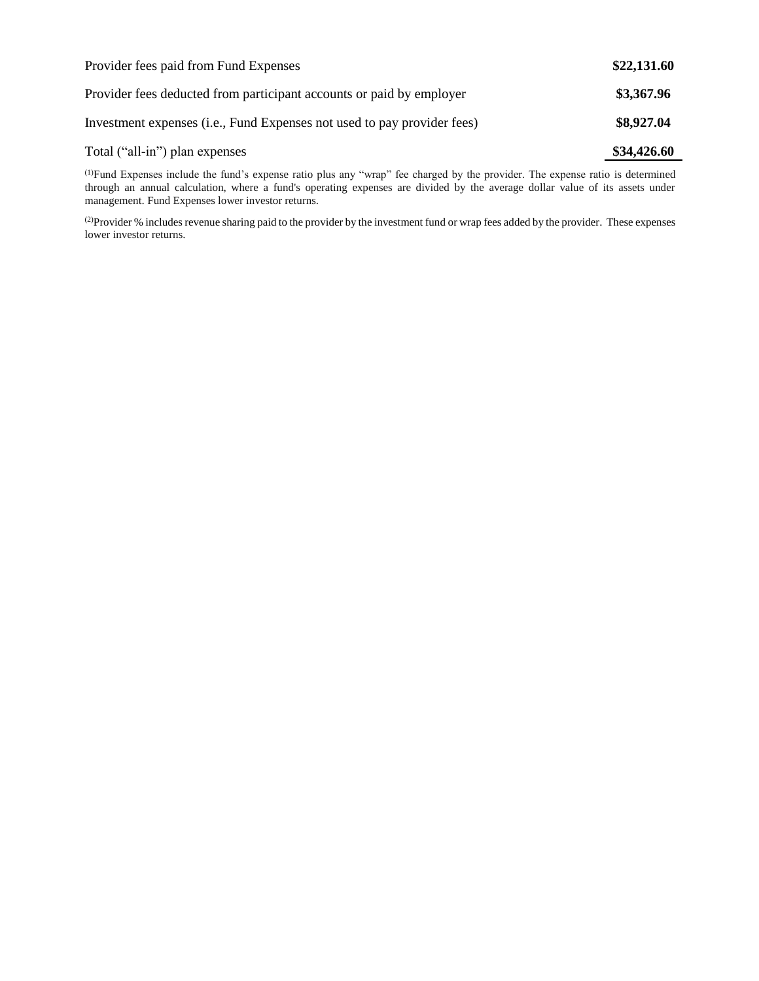| Provider fees paid from Fund Expenses                                   | \$22,131.60 |
|-------------------------------------------------------------------------|-------------|
| Provider fees deducted from participant accounts or paid by employer    | \$3,367.96  |
| Investment expenses (i.e., Fund Expenses not used to pay provider fees) | \$8,927.04  |
| Total ("all-in") plan expenses                                          | \$34,426.60 |

(1)Fund Expenses include the fund's expense ratio plus any "wrap" fee charged by the provider. The expense ratio is determined through an annual calculation, where a fund's operating expenses are divided by the average dollar value of its assets under management. Fund Expenses lower investor returns.

(2) Provider % includes revenue sharing paid to the provider by the investment fund or wrap fees added by the provider. These expenses lower investor returns.